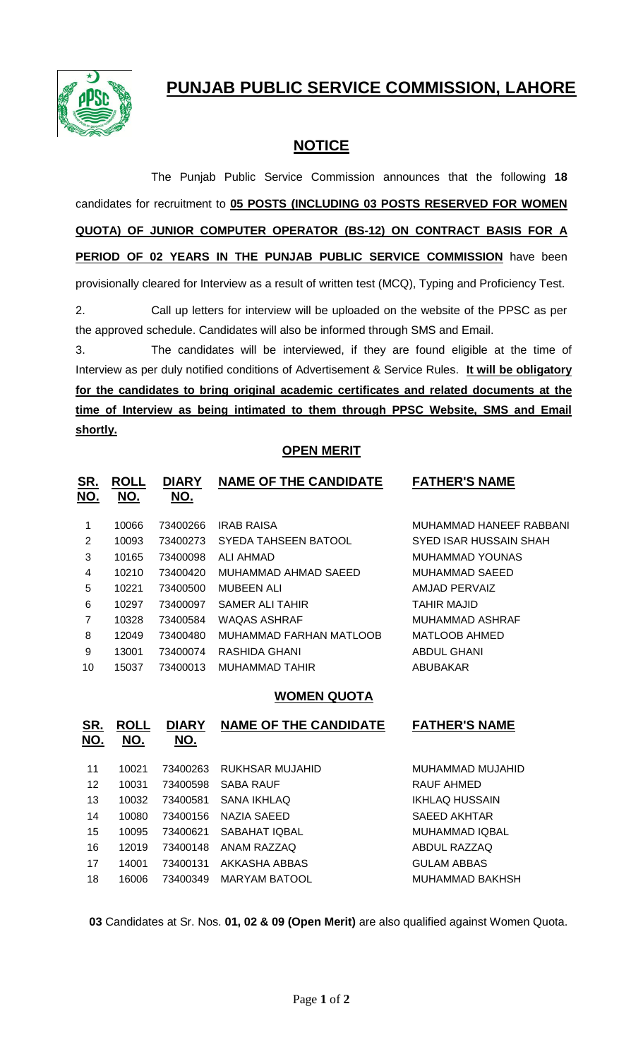**PUNJAB PUBLIC SERVICE COMMISSION, LAHORE**



## **NOTICE**

The Punjab Public Service Commission announces that the following **18** candidates for recruitment to **05 POSTS (INCLUDING 03 POSTS RESERVED FOR WOMEN QUOTA) OF JUNIOR COMPUTER OPERATOR (BS-12) ON CONTRACT BASIS FOR A PERIOD OF 02 YEARS IN THE PUNJAB PUBLIC SERVICE COMMISSION** have been provisionally cleared for Interview as a result of written test (MCQ), Typing and Proficiency Test.

2. Call up letters for interview will be uploaded on the website of the PPSC as per the approved schedule. Candidates will also be informed through SMS and Email.

3. The candidates will be interviewed, if they are found eligible at the time of Interview as per duly notified conditions of Advertisement & Service Rules. **It will be obligatory for the candidates to bring original academic certificates and related documents at the time of Interview as being intimated to them through PPSC Website, SMS and Email shortly.**

## **OPEN MERIT**

| <u>SR.</u><br>NO. | <b>ROLL</b><br>NO. | <b>DIARY</b><br>NO. | <b>NAME OF THE CANDIDATE</b> | <b>FATHER'S NAME</b>    |
|-------------------|--------------------|---------------------|------------------------------|-------------------------|
| 1                 | 10066              | 73400266            | <b>IRAB RAISA</b>            | MUHAMMAD HANEEF RABBANI |
| 2                 | 10093              | 73400273            | SYEDA TAHSEEN BATOOL         | SYED ISAR HUSSAIN SHAH  |
| 3                 | 10165              | 73400098            | ALI AHMAD                    | <b>MUHAMMAD YOUNAS</b>  |
| 4                 | 10210              | 73400420            | MUHAMMAD AHMAD SAEED         | MUHAMMAD SAEED          |
| 5                 | 10221              | 73400500            | MUBEEN ALI                   | AMJAD PERVAIZ           |
| 6                 | 10297              | 73400097            | SAMER ALI TAHIR              | <b>TAHIR MAJID</b>      |
| $\overline{7}$    | 10328              | 73400584            | WAQAS ASHRAF                 | <b>MUHAMMAD ASHRAF</b>  |
| 8                 | 12049              | 73400480            | MUHAMMAD FARHAN MATLOOB      | MATLOOB AHMED           |
| 9                 | 13001              | 73400074            | RASHIDA GHANI                | <b>ABDUL GHANI</b>      |
| 10                | 15037              | 73400013            | MUHAMMAD TAHIR               | ABUBAKAR                |
|                   |                    |                     |                              |                         |

## **WOMEN QUOTA**

| <u>SR.</u><br>NO. | <b>ROLL</b><br>NO. | <b>DIARY</b><br>NO. | <b>NAME OF THE CANDIDATE</b> | <b>FATHER'S NAME</b>  |
|-------------------|--------------------|---------------------|------------------------------|-----------------------|
| 11                | 10021              | 73400263            | RUKHSAR MUJAHID              | MUHAMMAD MUJAHID      |
| 12                | 10031              | 73400598            | SABA RAUF                    | RAUF AHMED            |
| 13                | 10032              | 73400581            | <b>SANA IKHLAQ</b>           | IKHLAQ HUSSAIN        |
| 14                | 10080              | 73400156            | NAZIA SAEED                  | SAEED AKHTAR          |
| 15                | 10095              | 73400621            | SABAHAT IQBAL                | <b>MUHAMMAD IQBAL</b> |
| 16                | 12019              | 73400148            | ANAM RAZZAQ                  | ABDUL RAZZAQ          |
| 17                | 14001              | 73400131            | AKKASHA ABBAS                | <b>GULAM ABBAS</b>    |
| 18                | 16006              | 73400349            | MARYAM BATOOL                | MUHAMMAD BAKHSH       |
|                   |                    |                     |                              |                       |

**03** Candidates at Sr. Nos. **01, 02 & 09 (Open Merit)** are also qualified against Women Quota.